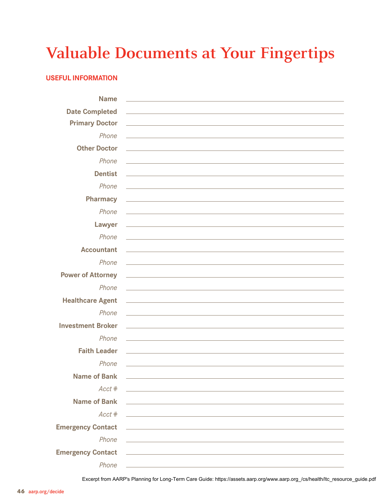## **Valuable Documents at Your Fingertips**

## **Useful Information**

| <b>Name</b>              |                                                                                                                                                                                                                                      |
|--------------------------|--------------------------------------------------------------------------------------------------------------------------------------------------------------------------------------------------------------------------------------|
| <b>Date Completed</b>    | <u> 1980 - Andrea Station, amerikansk politik (d. 1980)</u>                                                                                                                                                                          |
| <b>Primary Doctor</b>    | <u>and the second control of the second control of the second control of the second control of the second control of the second control of the second control of the second control of the second control of the second control </u> |
| Phone                    |                                                                                                                                                                                                                                      |
| <b>Other Doctor</b>      | <u> 1989 - Johann Stoff, amerikansk politiker (* 1908)</u>                                                                                                                                                                           |
| Phone                    |                                                                                                                                                                                                                                      |
| <b>Dentist</b>           | the control of the control of the control of the control of the control of the control of                                                                                                                                            |
| Phone                    |                                                                                                                                                                                                                                      |
| <b>Pharmacy</b>          | <u>and the contract of the contract of the contract of the contract of the contract of the contract of the contract of the contract of the contract of the contract of the contract of the contract of the contract of the contr</u> |
| Phone                    |                                                                                                                                                                                                                                      |
|                          |                                                                                                                                                                                                                                      |
| Lawyer                   | <u>state and the state of the state of the state of the state of the state of the state of the state of the state of the state of the state of the state of the state of the state of the state of the state of the state of the</u> |
| Phone                    |                                                                                                                                                                                                                                      |
| <b>Accountant</b>        |                                                                                                                                                                                                                                      |
| Phone                    | <u> 1989 - Johann Stoff, amerikansk politiker (d. 1989)</u>                                                                                                                                                                          |
| <b>Power of Attorney</b> |                                                                                                                                                                                                                                      |
| Phone                    |                                                                                                                                                                                                                                      |
| <b>Healthcare Agent</b>  | <u> 1989 - Johann Stoff, deutscher Stoffen und der Stoffen und der Stoffen und der Stoffen und der Stoffen und der</u>                                                                                                               |
| Phone                    | <u>and the contract of the contract of the contract of the contract of the contract of the contract of the contract of the contract of the contract of the contract of the contract of the contract of the contract of the contr</u> |
| <b>Investment Broker</b> | <u> 1999 - Johann John Stein, markin fan it ferstjer fan de ferstjer fan it ferstjer fan it ferstjer fan it fers</u>                                                                                                                 |
| Phone                    |                                                                                                                                                                                                                                      |
| <b>Faith Leader</b>      |                                                                                                                                                                                                                                      |
| Phone                    | and the control of the control of the control of the control of the control of the control of the control of the                                                                                                                     |
| <b>Name of Bank</b>      | and the control of the control of the control of the control of the control of the control of                                                                                                                                        |
| Acct #                   | <u> 1989 - Johann John Stein, mars an deutscher Stein und der Stein und der Stein und der Stein und der Stein und</u>                                                                                                                |
| <b>Name of Bank</b>      | <u> 1989 - Johann Stoff, deutscher Stoff, der Stoff, deutscher Stoff, der Stoff, der Stoff, der Stoff, der Stoff, </u>                                                                                                               |
| Acct #                   | <u> 1989 - Andrea Station, amerikansk politik (d. 1989)</u>                                                                                                                                                                          |
| <b>Emergency Contact</b> | <u> 1989 - Andrea State Barbara, amerikan bahasa perangan perangan perangan perangan perangan perangan perangan </u>                                                                                                                 |
| Phone                    | <u> 1989 - Johann Barbara, martxa alemaniar arg</u>                                                                                                                                                                                  |
|                          | Emergency Contact 2008 2009 2012 2022 2023 2024 2022 2023 2024 2022 2023 2024 2022 2023 2024 2022 2023 2024 20                                                                                                                       |
| Phone                    |                                                                                                                                                                                                                                      |
|                          |                                                                                                                                                                                                                                      |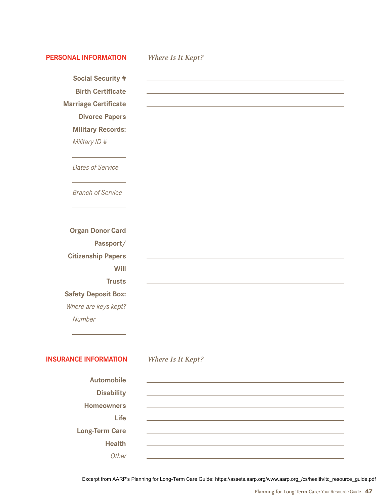| <b>PERSONAL INFORMATION</b>  | Where Is It Kept?                                                  |
|------------------------------|--------------------------------------------------------------------|
| <b>Social Security #</b>     | <u> 1980 - Jan Samuel Barbara, margaret eta idazlea (h. 1980).</u> |
| <b>Birth Certificate</b>     |                                                                    |
| <b>Marriage Certificate</b>  |                                                                    |
| <b>Divorce Papers</b>        |                                                                    |
| <b>Military Records:</b>     |                                                                    |
| Military ID #                |                                                                    |
| <b>Dates of Service</b>      |                                                                    |
| <b>Branch of Service</b>     |                                                                    |
|                              |                                                                    |
| <b>Organ Donor Card</b>      |                                                                    |
| Passport/                    |                                                                    |
| <b>Citizenship Papers</b>    |                                                                    |
| Will                         |                                                                    |
| <b>Trusts</b>                |                                                                    |
| <b>Safety Deposit Box:</b>   |                                                                    |
| Where are keys kept?         |                                                                    |
| Number                       |                                                                    |
|                              |                                                                    |
| <b>INSURANCE INFORMATION</b> | Where Is It Kept?                                                  |
| <b>Automobile</b>            |                                                                    |
| <b>Disability</b>            |                                                                    |
| <b>Homeowners</b>            |                                                                    |
| <b>Life</b>                  |                                                                    |
| <b>Long-Term Care</b>        |                                                                    |
| <b>Health</b>                |                                                                    |
| Other                        |                                                                    |
|                              |                                                                    |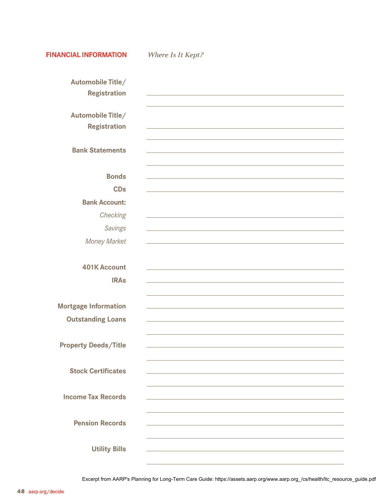**Financial Information** *Where Is It Kept?* **Automobile Title/ Registration Automobile Title/ Registration Bank Statements Bonds CDs Bank Account:**  *Checking Savings Money Market* **401K Account IRAs Mortgage Information Outstanding Loans Property Deeds/Title Stock Certificates Income Tax Records Pension Records**

 **Utility Bills**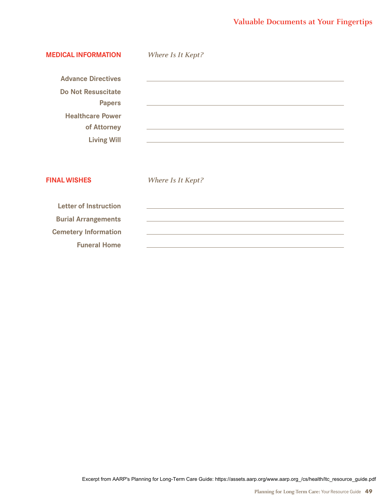## **Valuable Documents at Your Fingertips**

| <b>MEDICAL INFORMATION</b>                                                                                                              | Where Is It Kept?                                                                                                                                                                                                                    |
|-----------------------------------------------------------------------------------------------------------------------------------------|--------------------------------------------------------------------------------------------------------------------------------------------------------------------------------------------------------------------------------------|
| <b>Advance Directives</b><br><b>Do Not Resuscitate</b><br><b>Papers</b><br><b>Healthcare Power</b><br>of Attorney<br><b>Living Will</b> | and the control of the control of the control of the control of the control of the control of the control of the                                                                                                                     |
| <b>FINAL WISHES</b>                                                                                                                     | <b>Where Is It Kept?</b>                                                                                                                                                                                                             |
| <b>Letter of Instruction</b><br><b>Burial Arrangements</b><br><b>Cemetery Information</b><br><b>Funeral Home</b>                        | <u>and the contract of the contract of the contract of the contract of the contract of the contract of the contract of the contract of the contract of the contract of the contract of the contract of the contract of the contr</u> |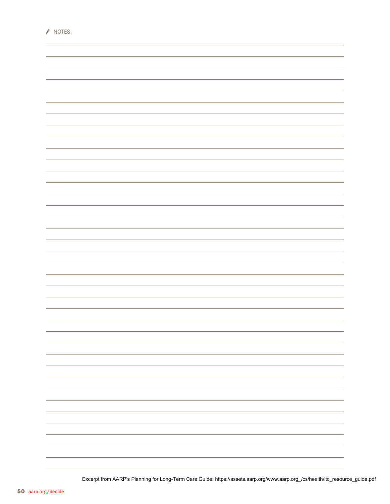| ÷                                                                                            |
|----------------------------------------------------------------------------------------------|
|                                                                                              |
|                                                                                              |
| $\overline{\phantom{a}}$                                                                     |
|                                                                                              |
|                                                                                              |
| $\overline{\phantom{a}}$                                                                     |
|                                                                                              |
|                                                                                              |
| $\overline{\phantom{a}}$                                                                     |
|                                                                                              |
|                                                                                              |
| ÷                                                                                            |
|                                                                                              |
|                                                                                              |
|                                                                                              |
| $\overline{\phantom{a}}$                                                                     |
|                                                                                              |
|                                                                                              |
| $\overline{\phantom{a}}$                                                                     |
|                                                                                              |
|                                                                                              |
|                                                                                              |
|                                                                                              |
|                                                                                              |
|                                                                                              |
|                                                                                              |
|                                                                                              |
|                                                                                              |
|                                                                                              |
|                                                                                              |
|                                                                                              |
|                                                                                              |
|                                                                                              |
| $\overline{\phantom{a}}$<br>÷.<br>$\overline{\phantom{a}}$<br>÷.<br>$\overline{\phantom{a}}$ |

NOTES: